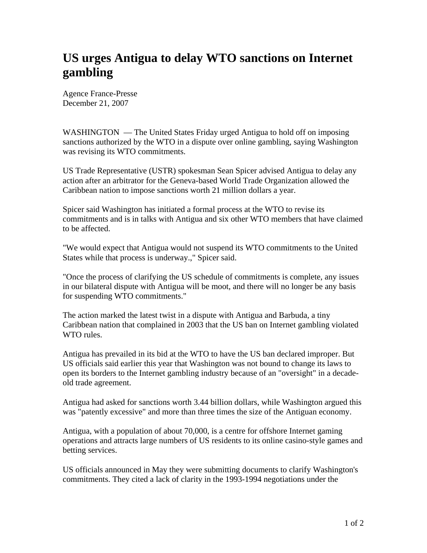## **US urges Antigua to delay WTO sanctions on Internet gambling**

Agence France-Presse December 21, 2007

WASHINGTON — The United States Friday urged Antigua to hold off on imposing sanctions authorized by the WTO in a dispute over online gambling, saying Washington was revising its WTO commitments.

US Trade Representative (USTR) spokesman Sean Spicer advised Antigua to delay any action after an arbitrator for the Geneva-based World Trade Organization allowed the Caribbean nation to impose sanctions worth 21 million dollars a year.

Spicer said Washington has initiated a formal process at the WTO to revise its commitments and is in talks with Antigua and six other WTO members that have claimed to be affected.

"We would expect that Antigua would not suspend its WTO commitments to the United States while that process is underway.," Spicer said.

"Once the process of clarifying the US schedule of commitments is complete, any issues in our bilateral dispute with Antigua will be moot, and there will no longer be any basis for suspending WTO commitments."

The action marked the latest twist in a dispute with Antigua and Barbuda, a tiny Caribbean nation that complained in 2003 that the US ban on Internet gambling violated WTO rules.

Antigua has prevailed in its bid at the WTO to have the US ban declared improper. But US officials said earlier this year that Washington was not bound to change its laws to open its borders to the Internet gambling industry because of an "oversight" in a decadeold trade agreement.

Antigua had asked for sanctions worth 3.44 billion dollars, while Washington argued this was "patently excessive" and more than three times the size of the Antiguan economy.

Antigua, with a population of about 70,000, is a centre for offshore Internet gaming operations and attracts large numbers of US residents to its online casino-style games and betting services.

US officials announced in May they were submitting documents to clarify Washington's commitments. They cited a lack of clarity in the 1993-1994 negotiations under the